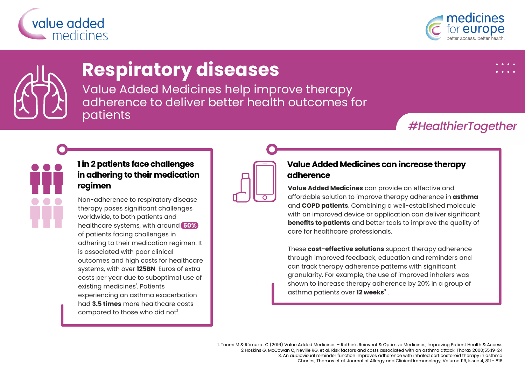



*#HealthierTogether*



# **Respiratory diseases**

Value Added Medicines help improve therapy adherence to deliver better health outcomes for patients

## **1 in 2 patients face challenges in adhering to their medication regimen**

Non-adherence to respiratory disease therapy poses significant challenges worldwide, to both patients and healthcare systems, with around **50%** of patients facing challenges in adhering to their medication regimen. It is associated with poor clinical outcomes and high costs for healthcare systems, with over **125BN** Euros of extra costs per year due to suboptimal use of existing medicines<sup>!</sup>. Patients experiencing an asthma exacerbation had **3.5 times** more healthcare costs compared to those who did not<sup>2</sup>.



### **Value Added Medicines can increase therapy adherence**

**Value Added Medicines** can provide an effective and affordable solution to improve therapy adherence in **asthma** and **COPD patients**. Combining a well-established molecule with an improved device or application can deliver significant **benefits to patients** and better tools to improve the quality of care for healthcare professionals.

These **cost-effective solutions** support therapy adherence through improved feedback, education and reminders and can track therapy adherence patterns with significant granularity. For example, the use of improved inhalers was shown to increase therapy adherence by 20% in a group of asthma patients over **12 weeks**<sup>3</sup>.

1. Toumi M & Rémuzat C (2016) Value Added Medicines – Rethink, Reinvent & Optimize Medicines, Improving Patient Health & Access 2 Hoskins G, McCowan C, Neville RG, et al. Risk factors and costs associated with an asthma attack. Thorax 2000;55:19-24 3. An audiovisual reminder function improves adherence with inhaled corticosteroid therapy in asthma Charles, Thomas et al. Journal of Allergy and Clinical Immunology, Volume 119, Issue 4, 811 - 816